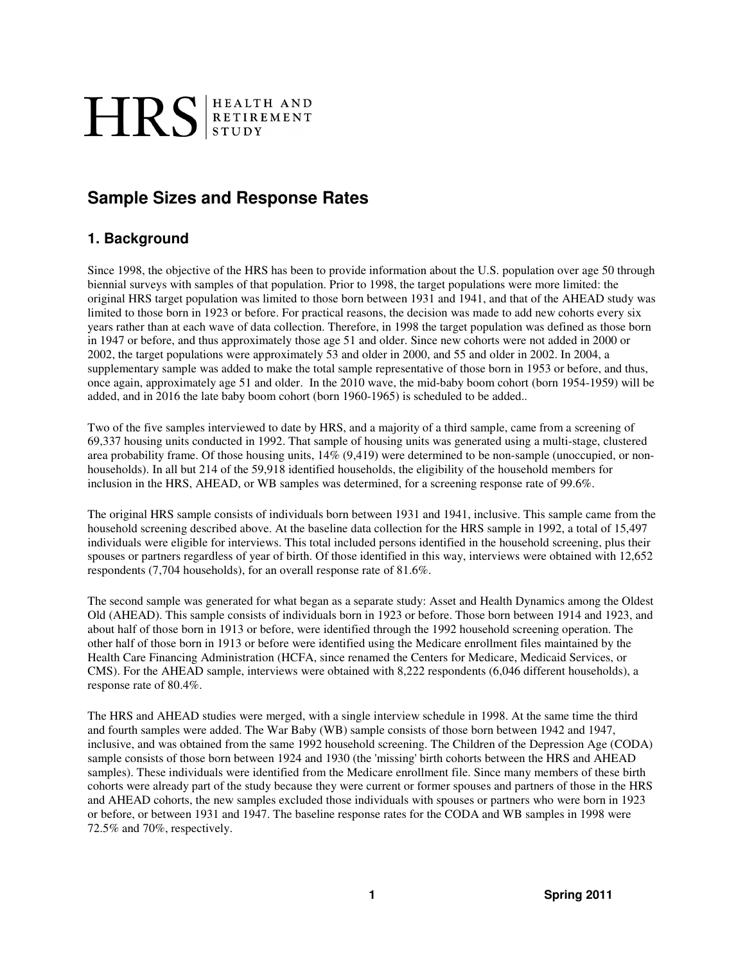# HRS ETIREMENT

# **Sample Sizes and Response Rates**

## **1. Background**

Since 1998, the objective of the HRS has been to provide information about the U.S. population over age 50 through biennial surveys with samples of that population. Prior to 1998, the target populations were more limited: the original HRS target population was limited to those born between 1931 and 1941, and that of the AHEAD study was limited to those born in 1923 or before. For practical reasons, the decision was made to add new cohorts every six years rather than at each wave of data collection. Therefore, in 1998 the target population was defined as those born in 1947 or before, and thus approximately those age 51 and older. Since new cohorts were not added in 2000 or 2002, the target populations were approximately 53 and older in 2000, and 55 and older in 2002. In 2004, a supplementary sample was added to make the total sample representative of those born in 1953 or before, and thus, once again, approximately age 51 and older. In the 2010 wave, the mid-baby boom cohort (born 1954-1959) will be added, and in 2016 the late baby boom cohort (born 1960-1965) is scheduled to be added..

Two of the five samples interviewed to date by HRS, and a majority of a third sample, came from a screening of 69,337 housing units conducted in 1992. That sample of housing units was generated using a multi-stage, clustered area probability frame. Of those housing units, 14% (9,419) were determined to be non-sample (unoccupied, or nonhouseholds). In all but 214 of the 59,918 identified households, the eligibility of the household members for inclusion in the HRS, AHEAD, or WB samples was determined, for a screening response rate of 99.6%.

The original HRS sample consists of individuals born between 1931 and 1941, inclusive. This sample came from the household screening described above. At the baseline data collection for the HRS sample in 1992, a total of 15,497 individuals were eligible for interviews. This total included persons identified in the household screening, plus their spouses or partners regardless of year of birth. Of those identified in this way, interviews were obtained with 12,652 respondents (7,704 households), for an overall response rate of 81.6%.

The second sample was generated for what began as a separate study: Asset and Health Dynamics among the Oldest Old (AHEAD). This sample consists of individuals born in 1923 or before. Those born between 1914 and 1923, and about half of those born in 1913 or before, were identified through the 1992 household screening operation. The other half of those born in 1913 or before were identified using the Medicare enrollment files maintained by the Health Care Financing Administration (HCFA, since renamed the Centers for Medicare, Medicaid Services, or CMS). For the AHEAD sample, interviews were obtained with 8,222 respondents (6,046 different households), a response rate of 80.4%.

The HRS and AHEAD studies were merged, with a single interview schedule in 1998. At the same time the third and fourth samples were added. The War Baby (WB) sample consists of those born between 1942 and 1947, inclusive, and was obtained from the same 1992 household screening. The Children of the Depression Age (CODA) sample consists of those born between 1924 and 1930 (the 'missing' birth cohorts between the HRS and AHEAD samples). These individuals were identified from the Medicare enrollment file. Since many members of these birth cohorts were already part of the study because they were current or former spouses and partners of those in the HRS and AHEAD cohorts, the new samples excluded those individuals with spouses or partners who were born in 1923 or before, or between 1931 and 1947. The baseline response rates for the CODA and WB samples in 1998 were 72.5% and 70%, respectively.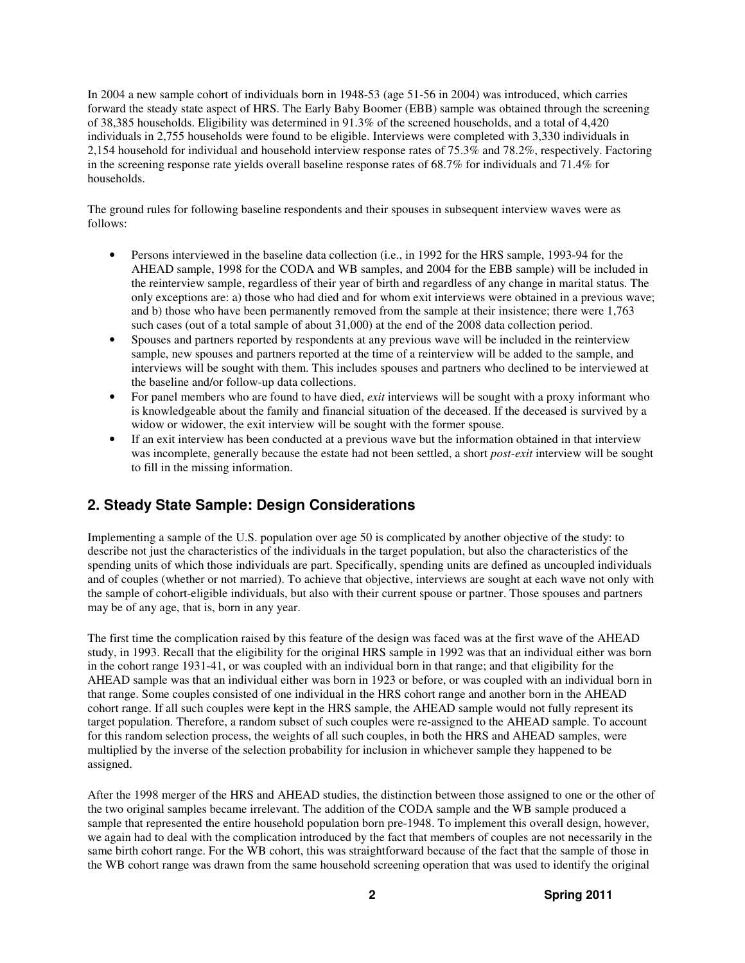In 2004 a new sample cohort of individuals born in 1948-53 (age 51-56 in 2004) was introduced, which carries forward the steady state aspect of HRS. The Early Baby Boomer (EBB) sample was obtained through the screening of 38,385 households. Eligibility was determined in 91.3% of the screened households, and a total of 4,420 individuals in 2,755 households were found to be eligible. Interviews were completed with 3,330 individuals in 2,154 household for individual and household interview response rates of 75.3% and 78.2%, respectively. Factoring in the screening response rate yields overall baseline response rates of 68.7% for individuals and 71.4% for households.

The ground rules for following baseline respondents and their spouses in subsequent interview waves were as follows:

- Persons interviewed in the baseline data collection (i.e., in 1992 for the HRS sample, 1993-94 for the AHEAD sample, 1998 for the CODA and WB samples, and 2004 for the EBB sample) will be included in the reinterview sample, regardless of their year of birth and regardless of any change in marital status. The only exceptions are: a) those who had died and for whom exit interviews were obtained in a previous wave; and b) those who have been permanently removed from the sample at their insistence; there were 1,763 such cases (out of a total sample of about 31,000) at the end of the 2008 data collection period.
- Spouses and partners reported by respondents at any previous wave will be included in the reinterview sample, new spouses and partners reported at the time of a reinterview will be added to the sample, and interviews will be sought with them. This includes spouses and partners who declined to be interviewed at the baseline and/or follow-up data collections.
- For panel members who are found to have died, *exit* interviews will be sought with a proxy informant who is knowledgeable about the family and financial situation of the deceased. If the deceased is survived by a widow or widower, the exit interview will be sought with the former spouse.
- If an exit interview has been conducted at a previous wave but the information obtained in that interview was incomplete, generally because the estate had not been settled, a short *post-exit* interview will be sought to fill in the missing information.

## **2. Steady State Sample: Design Considerations**

Implementing a sample of the U.S. population over age 50 is complicated by another objective of the study: to describe not just the characteristics of the individuals in the target population, but also the characteristics of the spending units of which those individuals are part. Specifically, spending units are defined as uncoupled individuals and of couples (whether or not married). To achieve that objective, interviews are sought at each wave not only with the sample of cohort-eligible individuals, but also with their current spouse or partner. Those spouses and partners may be of any age, that is, born in any year.

The first time the complication raised by this feature of the design was faced was at the first wave of the AHEAD study, in 1993. Recall that the eligibility for the original HRS sample in 1992 was that an individual either was born in the cohort range 1931-41, or was coupled with an individual born in that range; and that eligibility for the AHEAD sample was that an individual either was born in 1923 or before, or was coupled with an individual born in that range. Some couples consisted of one individual in the HRS cohort range and another born in the AHEAD cohort range. If all such couples were kept in the HRS sample, the AHEAD sample would not fully represent its target population. Therefore, a random subset of such couples were re-assigned to the AHEAD sample. To account for this random selection process, the weights of all such couples, in both the HRS and AHEAD samples, were multiplied by the inverse of the selection probability for inclusion in whichever sample they happened to be assigned.

After the 1998 merger of the HRS and AHEAD studies, the distinction between those assigned to one or the other of the two original samples became irrelevant. The addition of the CODA sample and the WB sample produced a sample that represented the entire household population born pre-1948. To implement this overall design, however, we again had to deal with the complication introduced by the fact that members of couples are not necessarily in the same birth cohort range. For the WB cohort, this was straightforward because of the fact that the sample of those in the WB cohort range was drawn from the same household screening operation that was used to identify the original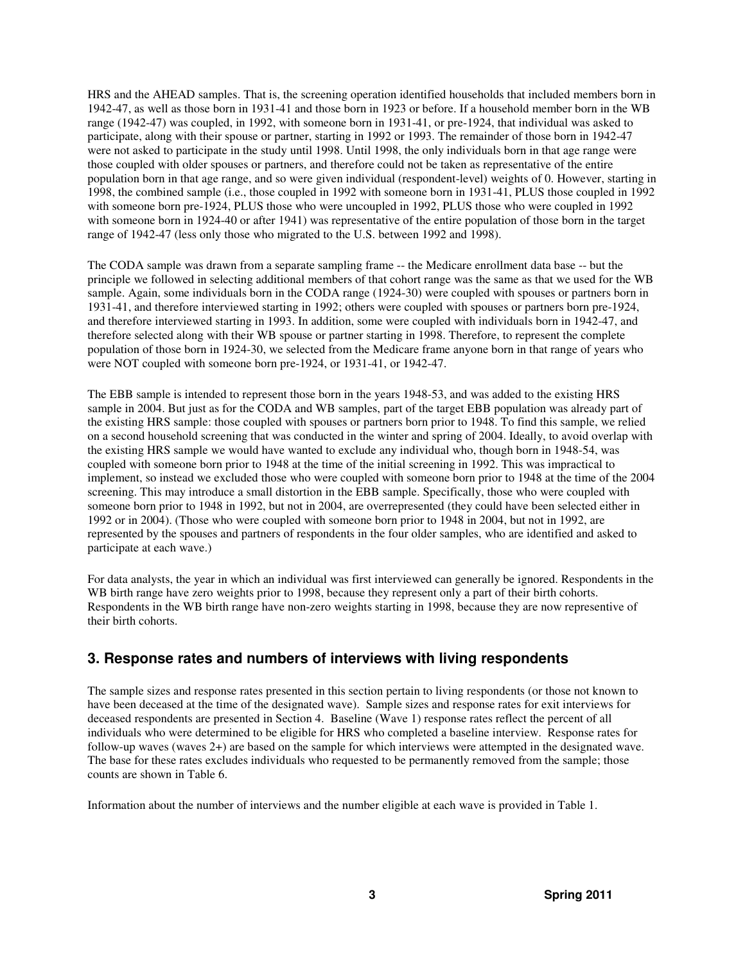HRS and the AHEAD samples. That is, the screening operation identified households that included members born in 1942-47, as well as those born in 1931-41 and those born in 1923 or before. If a household member born in the WB range (1942-47) was coupled, in 1992, with someone born in 1931-41, or pre-1924, that individual was asked to participate, along with their spouse or partner, starting in 1992 or 1993. The remainder of those born in 1942-47 were not asked to participate in the study until 1998. Until 1998, the only individuals born in that age range were those coupled with older spouses or partners, and therefore could not be taken as representative of the entire population born in that age range, and so were given individual (respondent-level) weights of 0. However, starting in 1998, the combined sample (i.e., those coupled in 1992 with someone born in 1931-41, PLUS those coupled in 1992 with someone born pre-1924, PLUS those who were uncoupled in 1992, PLUS those who were coupled in 1992 with someone born in 1924-40 or after 1941) was representative of the entire population of those born in the target range of 1942-47 (less only those who migrated to the U.S. between 1992 and 1998).

The CODA sample was drawn from a separate sampling frame -- the Medicare enrollment data base -- but the principle we followed in selecting additional members of that cohort range was the same as that we used for the WB sample. Again, some individuals born in the CODA range (1924-30) were coupled with spouses or partners born in 1931-41, and therefore interviewed starting in 1992; others were coupled with spouses or partners born pre-1924, and therefore interviewed starting in 1993. In addition, some were coupled with individuals born in 1942-47, and therefore selected along with their WB spouse or partner starting in 1998. Therefore, to represent the complete population of those born in 1924-30, we selected from the Medicare frame anyone born in that range of years who were NOT coupled with someone born pre-1924, or 1931-41, or 1942-47.

The EBB sample is intended to represent those born in the years 1948-53, and was added to the existing HRS sample in 2004. But just as for the CODA and WB samples, part of the target EBB population was already part of the existing HRS sample: those coupled with spouses or partners born prior to 1948. To find this sample, we relied on a second household screening that was conducted in the winter and spring of 2004. Ideally, to avoid overlap with the existing HRS sample we would have wanted to exclude any individual who, though born in 1948-54, was coupled with someone born prior to 1948 at the time of the initial screening in 1992. This was impractical to implement, so instead we excluded those who were coupled with someone born prior to 1948 at the time of the 2004 screening. This may introduce a small distortion in the EBB sample. Specifically, those who were coupled with someone born prior to 1948 in 1992, but not in 2004, are overrepresented (they could have been selected either in 1992 or in 2004). (Those who were coupled with someone born prior to 1948 in 2004, but not in 1992, are represented by the spouses and partners of respondents in the four older samples, who are identified and asked to participate at each wave.)

For data analysts, the year in which an individual was first interviewed can generally be ignored. Respondents in the WB birth range have zero weights prior to 1998, because they represent only a part of their birth cohorts. Respondents in the WB birth range have non-zero weights starting in 1998, because they are now representive of their birth cohorts.

#### **3. Response rates and numbers of interviews with living respondents**

The sample sizes and response rates presented in this section pertain to living respondents (or those not known to have been deceased at the time of the designated wave). Sample sizes and response rates for exit interviews for deceased respondents are presented in Section 4. Baseline (Wave 1) response rates reflect the percent of all individuals who were determined to be eligible for HRS who completed a baseline interview. Response rates for follow-up waves (waves 2+) are based on the sample for which interviews were attempted in the designated wave. The base for these rates excludes individuals who requested to be permanently removed from the sample; those counts are shown in Table 6.

Information about the number of interviews and the number eligible at each wave is provided in Table 1.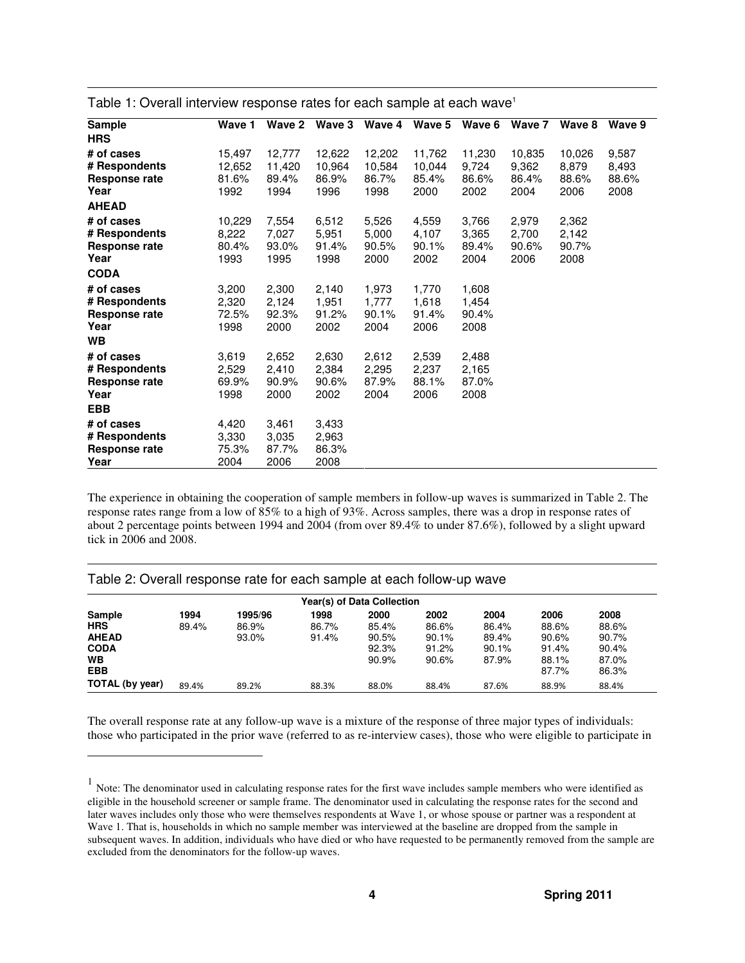| <b>Sample</b>                                                        | Wave 1                            | Wave 2                            | Wave 3                            | Wave 4                            | Wave 5                            | Wave 6                           | Wave 7                           | Wave 8                           | Wave 9                          |
|----------------------------------------------------------------------|-----------------------------------|-----------------------------------|-----------------------------------|-----------------------------------|-----------------------------------|----------------------------------|----------------------------------|----------------------------------|---------------------------------|
| <b>HRS</b>                                                           |                                   |                                   |                                   |                                   |                                   |                                  |                                  |                                  |                                 |
| # of cases<br># Respondents<br>Response rate<br>Year<br><b>AHEAD</b> | 15,497<br>12,652<br>81.6%<br>1992 | 12,777<br>11,420<br>89.4%<br>1994 | 12,622<br>10,964<br>86.9%<br>1996 | 12,202<br>10,584<br>86.7%<br>1998 | 11,762<br>10,044<br>85.4%<br>2000 | 11,230<br>9,724<br>86.6%<br>2002 | 10,835<br>9,362<br>86.4%<br>2004 | 10,026<br>8,879<br>88.6%<br>2006 | 9,587<br>8,493<br>88.6%<br>2008 |
| # of cases<br># Respondents<br>Response rate<br>Year<br><b>CODA</b>  | 10,229<br>8,222<br>80.4%<br>1993  | 7,554<br>7,027<br>93.0%<br>1995   | 6,512<br>5,951<br>91.4%<br>1998   | 5,526<br>5,000<br>90.5%<br>2000   | 4,559<br>4,107<br>90.1%<br>2002   | 3,766<br>3,365<br>89.4%<br>2004  | 2,979<br>2,700<br>90.6%<br>2006  | 2,362<br>2,142<br>90.7%<br>2008  |                                 |
| # of cases<br># Respondents<br>Response rate<br>Year<br><b>WB</b>    | 3,200<br>2,320<br>72.5%<br>1998   | 2,300<br>2,124<br>92.3%<br>2000   | 2,140<br>1,951<br>91.2%<br>2002   | 1,973<br>1,777<br>90.1%<br>2004   | 1,770<br>1,618<br>91.4%<br>2006   | 1,608<br>1,454<br>90.4%<br>2008  |                                  |                                  |                                 |
| # of cases<br># Respondents<br>Response rate<br>Year<br><b>EBB</b>   | 3,619<br>2,529<br>69.9%<br>1998   | 2,652<br>2,410<br>90.9%<br>2000   | 2,630<br>2,384<br>90.6%<br>2002   | 2,612<br>2,295<br>87.9%<br>2004   | 2,539<br>2,237<br>88.1%<br>2006   | 2,488<br>2,165<br>87.0%<br>2008  |                                  |                                  |                                 |
| # of cases<br># Respondents<br>Response rate<br>Year                 | 4,420<br>3,330<br>75.3%<br>2004   | 3,461<br>3,035<br>87.7%<br>2006   | 3,433<br>2,963<br>86.3%<br>2008   |                                   |                                   |                                  |                                  |                                  |                                 |

Table 1: Overall interview response rates for each sample at each wave<sup>1</sup>

The experience in obtaining the cooperation of sample members in follow-up waves is summarized in Table 2. The response rates range from a low of 85% to a high of 93%. Across samples, there was a drop in response rates of about 2 percentage points between 1994 and 2004 (from over 89.4% to under 87.6%), followed by a slight upward tick in 2006 and 2008.

#### Table 2: Overall response rate for each sample at each follow-up wave

-

|                 |       |         |       | Year(s) of Data Collection |       |       |       |       |
|-----------------|-------|---------|-------|----------------------------|-------|-------|-------|-------|
| Sample          | 1994  | 1995/96 | 1998  | 2000                       | 2002  | 2004  | 2006  | 2008  |
| <b>HRS</b>      | 89.4% | 86.9%   | 86.7% | 85.4%                      | 86.6% | 86.4% | 88.6% | 88.6% |
| <b>AHEAD</b>    |       | 93.0%   | 91.4% | 90.5%                      | 90.1% | 89.4% | 90.6% | 90.7% |
| <b>CODA</b>     |       |         |       | 92.3%                      | 91.2% | 90.1% | 91.4% | 90.4% |
| WВ              |       |         |       | 90.9%                      | 90.6% | 87.9% | 88.1% | 87.0% |
| <b>EBB</b>      |       |         |       |                            |       |       | 87.7% | 86.3% |
| TOTAL (by year) | 89.4% | 89.2%   | 88.3% | 88.0%                      | 88.4% | 87.6% | 88.9% | 88.4% |

The overall response rate at any follow-up wave is a mixture of the response of three major types of individuals: those who participated in the prior wave (referred to as re-interview cases), those who were eligible to participate in

<sup>&</sup>lt;sup>1</sup> Note: The denominator used in calculating response rates for the first wave includes sample members who were identified as eligible in the household screener or sample frame. The denominator used in calculating the response rates for the second and later waves includes only those who were themselves respondents at Wave 1, or whose spouse or partner was a respondent at Wave 1. That is, households in which no sample member was interviewed at the baseline are dropped from the sample in subsequent waves. In addition, individuals who have died or who have requested to be permanently removed from the sample are excluded from the denominators for the follow-up waves.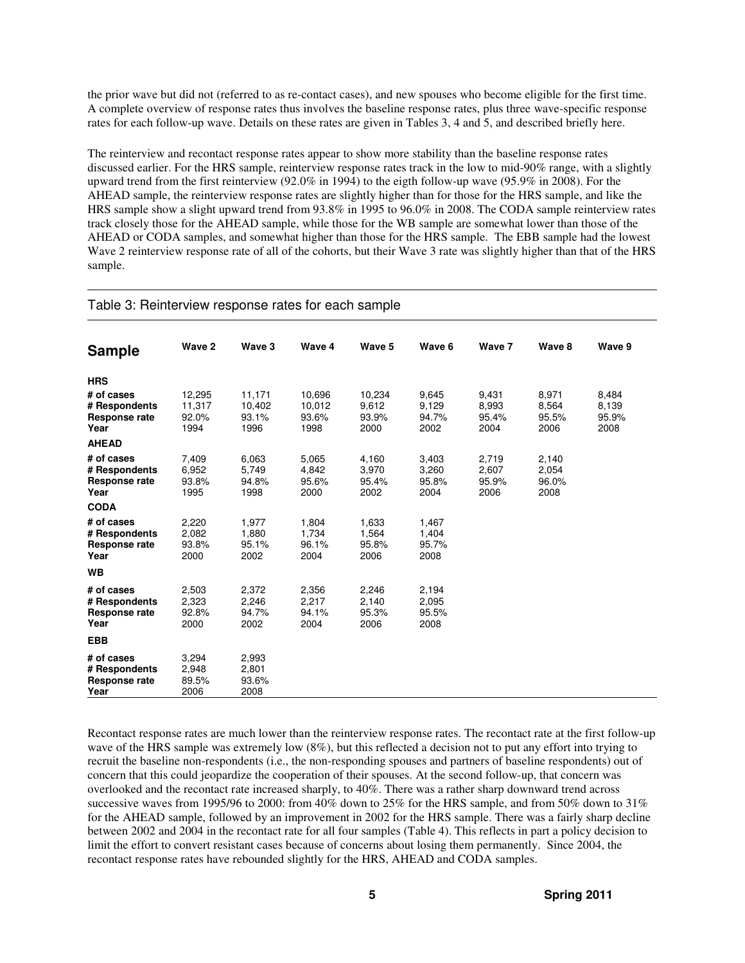the prior wave but did not (referred to as re-contact cases), and new spouses who become eligible for the first time. A complete overview of response rates thus involves the baseline response rates, plus three wave-specific response rates for each follow-up wave. Details on these rates are given in Tables 3, 4 and 5, and described briefly here.

The reinterview and recontact response rates appear to show more stability than the baseline response rates discussed earlier. For the HRS sample, reinterview response rates track in the low to mid-90% range, with a slightly upward trend from the first reinterview (92.0% in 1994) to the eigth follow-up wave (95.9% in 2008). For the AHEAD sample, the reinterview response rates are slightly higher than for those for the HRS sample, and like the HRS sample show a slight upward trend from 93.8% in 1995 to 96.0% in 2008. The CODA sample reinterview rates track closely those for the AHEAD sample, while those for the WB sample are somewhat lower than those of the AHEAD or CODA samples, and somewhat higher than those for the HRS sample. The EBB sample had the lowest Wave 2 reinterview response rate of all of the cohorts, but their Wave 3 rate was slightly higher than that of the HRS sample.

#### Table 3: Reinterview response rates for each sample

| <b>Sample</b>                                                                      | Wave 2                            | Wave 3                            | Wave 4                            | Wave 5                           | Wave 6                          | Wave 7                          | Wave 8                          | Wave 9                          |
|------------------------------------------------------------------------------------|-----------------------------------|-----------------------------------|-----------------------------------|----------------------------------|---------------------------------|---------------------------------|---------------------------------|---------------------------------|
| <b>HRS</b><br># of cases<br># Respondents<br>Response rate<br>Year<br><b>AHEAD</b> | 12,295<br>11,317<br>92.0%<br>1994 | 11,171<br>10,402<br>93.1%<br>1996 | 10,696<br>10,012<br>93.6%<br>1998 | 10,234<br>9,612<br>93.9%<br>2000 | 9,645<br>9,129<br>94.7%<br>2002 | 9,431<br>8,993<br>95.4%<br>2004 | 8,971<br>8,564<br>95.5%<br>2006 | 8,484<br>8,139<br>95.9%<br>2008 |
| # of cases<br># Respondents<br><b>Response rate</b><br>Year<br><b>CODA</b>         | 7,409<br>6.952<br>93.8%<br>1995   | 6,063<br>5,749<br>94.8%<br>1998   | 5,065<br>4,842<br>95.6%<br>2000   | 4,160<br>3,970<br>95.4%<br>2002  | 3,403<br>3,260<br>95.8%<br>2004 | 2,719<br>2,607<br>95.9%<br>2006 | 2,140<br>2,054<br>96.0%<br>2008 |                                 |
| # of cases<br># Respondents<br>Response rate<br>Year                               | 2,220<br>2,082<br>93.8%<br>2000   | 1,977<br>1,880<br>95.1%<br>2002   | 1,804<br>1.734<br>96.1%<br>2004   | 1,633<br>1,564<br>95.8%<br>2006  | 1,467<br>1,404<br>95.7%<br>2008 |                                 |                                 |                                 |
| WB<br># of cases<br># Respondents<br>Response rate<br>Year                         | 2,503<br>2,323<br>92.8%<br>2000   | 2,372<br>2,246<br>94.7%<br>2002   | 2,356<br>2,217<br>94.1%<br>2004   | 2,246<br>2,140<br>95.3%<br>2006  | 2,194<br>2,095<br>95.5%<br>2008 |                                 |                                 |                                 |
| <b>EBB</b><br># of cases<br># Respondents<br><b>Response rate</b><br>Year          | 3,294<br>2,948<br>89.5%<br>2006   | 2,993<br>2,801<br>93.6%<br>2008   |                                   |                                  |                                 |                                 |                                 |                                 |

Recontact response rates are much lower than the reinterview response rates. The recontact rate at the first follow-up wave of the HRS sample was extremely low (8%), but this reflected a decision not to put any effort into trying to recruit the baseline non-respondents (i.e., the non-responding spouses and partners of baseline respondents) out of concern that this could jeopardize the cooperation of their spouses. At the second follow-up, that concern was overlooked and the recontact rate increased sharply, to 40%. There was a rather sharp downward trend across successive waves from 1995/96 to 2000: from 40% down to 25% for the HRS sample, and from 50% down to 31% for the AHEAD sample, followed by an improvement in 2002 for the HRS sample. There was a fairly sharp decline between 2002 and 2004 in the recontact rate for all four samples (Table 4). This reflects in part a policy decision to limit the effort to convert resistant cases because of concerns about losing them permanently. Since 2004, the recontact response rates have rebounded slightly for the HRS, AHEAD and CODA samples.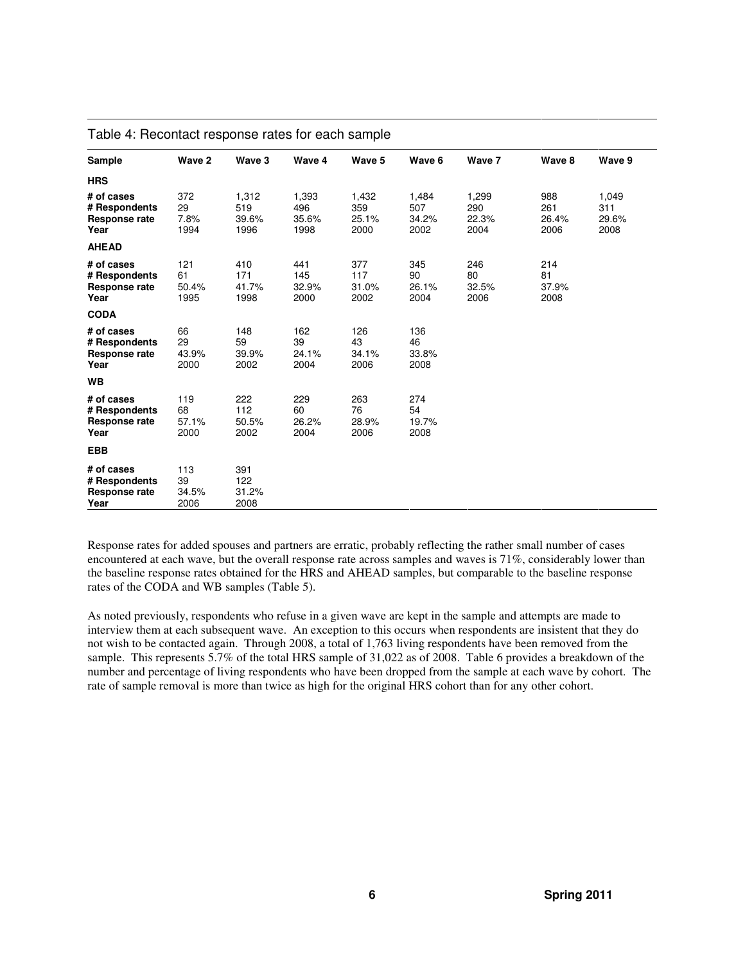| Sample                                                      | Wave 2                     | Wave 3                        | Wave 4                        | Wave 5                        | Wave 6                        | Wave 7                        | Wave 8                      | Wave 9                        |
|-------------------------------------------------------------|----------------------------|-------------------------------|-------------------------------|-------------------------------|-------------------------------|-------------------------------|-----------------------------|-------------------------------|
| <b>HRS</b>                                                  |                            |                               |                               |                               |                               |                               |                             |                               |
| # of cases<br># Respondents<br>Response rate<br>Year        | 372<br>29<br>7.8%<br>1994  | 1,312<br>519<br>39.6%<br>1996 | 1,393<br>496<br>35.6%<br>1998 | 1,432<br>359<br>25.1%<br>2000 | 1,484<br>507<br>34.2%<br>2002 | 1,299<br>290<br>22.3%<br>2004 | 988<br>261<br>26.4%<br>2006 | 1,049<br>311<br>29.6%<br>2008 |
| <b>AHEAD</b>                                                |                            |                               |                               |                               |                               |                               |                             |                               |
| # of cases<br># Respondents<br>Response rate<br>Year        | 121<br>61<br>50.4%<br>1995 | 410<br>171<br>41.7%<br>1998   | 441<br>145<br>32.9%<br>2000   | 377<br>117<br>31.0%<br>2002   | 345<br>90<br>26.1%<br>2004    | 246<br>80<br>32.5%<br>2006    | 214<br>81<br>37.9%<br>2008  |                               |
| <b>CODA</b>                                                 |                            |                               |                               |                               |                               |                               |                             |                               |
| # of cases<br># Respondents<br><b>Response rate</b><br>Year | 66<br>29<br>43.9%<br>2000  | 148<br>59<br>39.9%<br>2002    | 162<br>39<br>24.1%<br>2004    | 126<br>43<br>34.1%<br>2006    | 136<br>46<br>33.8%<br>2008    |                               |                             |                               |
| <b>WB</b>                                                   |                            |                               |                               |                               |                               |                               |                             |                               |
| # of cases<br># Respondents<br><b>Response rate</b><br>Year | 119<br>68<br>57.1%<br>2000 | 222<br>112<br>50.5%<br>2002   | 229<br>60<br>26.2%<br>2004    | 263<br>76<br>28.9%<br>2006    | 274<br>54<br>19.7%<br>2008    |                               |                             |                               |
| <b>EBB</b>                                                  |                            |                               |                               |                               |                               |                               |                             |                               |
| # of cases<br># Respondents<br><b>Response rate</b><br>Year | 113<br>39<br>34.5%<br>2006 | 391<br>122<br>31.2%<br>2008   |                               |                               |                               |                               |                             |                               |

#### Table 4: Recontact response rates for each sample

Response rates for added spouses and partners are erratic, probably reflecting the rather small number of cases encountered at each wave, but the overall response rate across samples and waves is 71%, considerably lower than the baseline response rates obtained for the HRS and AHEAD samples, but comparable to the baseline response rates of the CODA and WB samples (Table 5).

As noted previously, respondents who refuse in a given wave are kept in the sample and attempts are made to interview them at each subsequent wave. An exception to this occurs when respondents are insistent that they do not wish to be contacted again. Through 2008, a total of 1,763 living respondents have been removed from the sample. This represents 5.7% of the total HRS sample of 31,022 as of 2008. Table 6 provides a breakdown of the number and percentage of living respondents who have been dropped from the sample at each wave by cohort. The rate of sample removal is more than twice as high for the original HRS cohort than for any other cohort.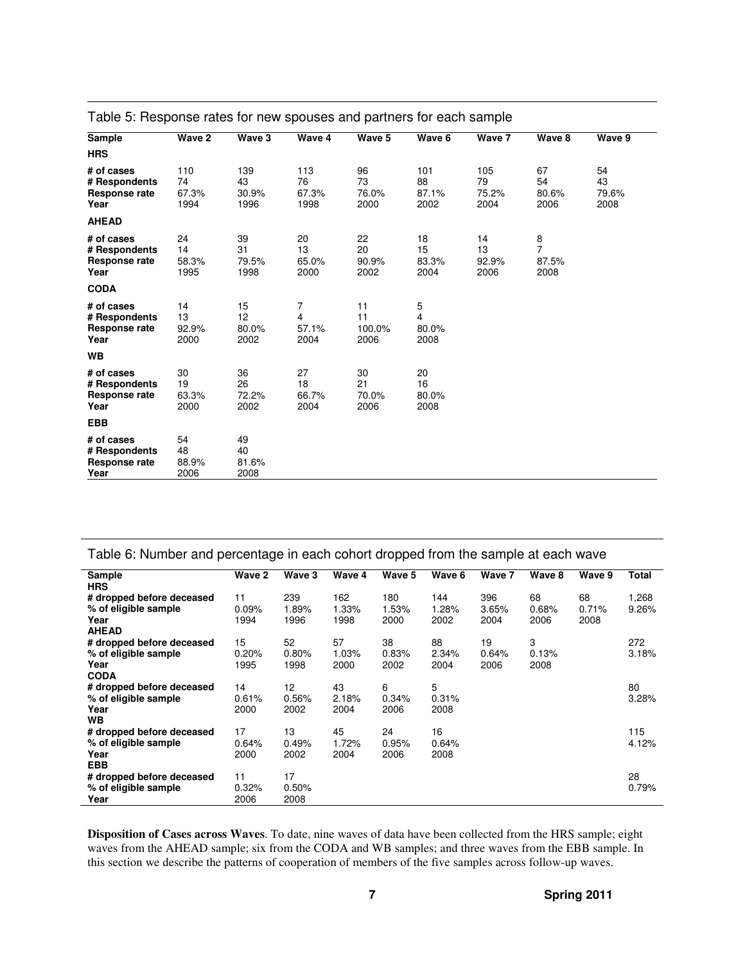| Sample                                                      | Wave 2                     | Wave 3                     | Wave 4                     | Wave 5                     | Wave 6                     | Wave 7                     | Wave 8                                                 | Wave 9                    |
|-------------------------------------------------------------|----------------------------|----------------------------|----------------------------|----------------------------|----------------------------|----------------------------|--------------------------------------------------------|---------------------------|
| <b>HRS</b>                                                  |                            |                            |                            |                            |                            |                            |                                                        |                           |
| # of cases<br># Respondents<br>Response rate<br>Year        | 110<br>74<br>67.3%<br>1994 | 139<br>43<br>30.9%<br>1996 | 113<br>76<br>67.3%<br>1998 | 96<br>73<br>76.0%<br>2000  | 101<br>88<br>87.1%<br>2002 | 105<br>79<br>75.2%<br>2004 | 67<br>54<br>80.6%<br>2006                              | 54<br>43<br>79.6%<br>2008 |
| <b>AHEAD</b>                                                |                            |                            |                            |                            |                            |                            |                                                        |                           |
| # of cases<br># Respondents<br><b>Response rate</b><br>Year | 24<br>14<br>58.3%<br>1995  | 39<br>31<br>79.5%<br>1998  | 20<br>13<br>65.0%<br>2000  | 22<br>20<br>90.9%<br>2002  | 18<br>15<br>83.3%<br>2004  | 14<br>13<br>92.9%<br>2006  | $\begin{array}{c} 8 \\ 7 \end{array}$<br>87.5%<br>2008 |                           |
| <b>CODA</b>                                                 |                            |                            |                            |                            |                            |                            |                                                        |                           |
| # of cases<br># Respondents<br><b>Response rate</b><br>Year | 14<br>13<br>92.9%<br>2000  | 15<br>12<br>80.0%<br>2002  | 7<br>4<br>57.1%<br>2004    | 11<br>11<br>100.0%<br>2006 | 5<br>4<br>80.0%<br>2008    |                            |                                                        |                           |
| <b>WB</b>                                                   |                            |                            |                            |                            |                            |                            |                                                        |                           |
| # of cases<br># Respondents<br>Response rate<br>Year        | 30<br>19<br>63.3%<br>2000  | 36<br>26<br>72.2%<br>2002  | 27<br>18<br>66.7%<br>2004  | 30<br>21<br>70.0%<br>2006  | 20<br>16<br>80.0%<br>2008  |                            |                                                        |                           |
| <b>EBB</b>                                                  |                            |                            |                            |                            |                            |                            |                                                        |                           |
| # of cases<br># Respondents<br>Response rate<br>Year        | 54<br>48<br>88.9%<br>2006  | 49<br>40<br>81.6%<br>2008  |                            |                            |                            |                            |                                                        |                           |

|  |  | Table 5: Response rates for new spouses and partners for each sample |
|--|--|----------------------------------------------------------------------|
|  |  |                                                                      |

| Table 6: Number and percentage in each cohort dropped from the sample at each wave |        |        |        |        |        |        |        |        |       |
|------------------------------------------------------------------------------------|--------|--------|--------|--------|--------|--------|--------|--------|-------|
| Sample                                                                             | Wave 2 | Wave 3 | Wave 4 | Wave 5 | Wave 6 | Wave 7 | Wave 8 | Wave 9 | Total |
| <b>HRS</b>                                                                         |        |        |        |        |        |        |        |        |       |
| # dropped before deceased                                                          | 11     | 239    | 162    | 180    | 144    | 396    | 68     | 68     | 1,268 |
| % of eligible sample                                                               | 0.09%  | 1.89%  | 1.33%  | 1.53%  | 1.28%  | 3.65%  | 0.68%  | 0.71%  | 9.26% |
| Year                                                                               | 1994   | 1996   | 1998   | 2000   | 2002   | 2004   | 2006   | 2008   |       |
| <b>AHEAD</b>                                                                       |        |        |        |        |        |        |        |        |       |
| # dropped before deceased                                                          | 15     | 52     | 57     | 38     | 88     | 19     | 3      |        | 272   |
| % of eligible sample                                                               | 0.20%  | 0.80%  | 1.03%  | 0.83%  | 2.34%  | 0.64%  | 0.13%  |        | 3.18% |
| Year                                                                               | 1995   | 1998   | 2000   | 2002   | 2004   | 2006   | 2008   |        |       |
| <b>CODA</b>                                                                        |        |        |        |        |        |        |        |        |       |
| # dropped before deceased                                                          | 14     | 12     | 43     | 6      | 5      |        |        |        | 80    |
| % of eligible sample                                                               | 0.61%  | 0.56%  | 2.18%  | 0.34%  | 0.31%  |        |        |        | 3.28% |
| Year                                                                               | 2000   | 2002   | 2004   | 2006   | 2008   |        |        |        |       |
| <b>WB</b>                                                                          |        |        |        |        |        |        |        |        |       |
| # dropped before deceased                                                          | 17     | 13     | 45     | 24     | 16     |        |        |        | 115   |
| % of eligible sample                                                               | 0.64%  | 0.49%  | 1.72%  | 0.95%  | 0.64%  |        |        |        | 4.12% |
| Year                                                                               | 2000   | 2002   | 2004   | 2006   | 2008   |        |        |        |       |
| <b>EBB</b>                                                                         |        |        |        |        |        |        |        |        |       |
| # dropped before deceased                                                          | 11     | 17     |        |        |        |        |        |        | 28    |
| % of eligible sample                                                               | 0.32%  | 0.50%  |        |        |        |        |        |        | 0.79% |
| Year                                                                               | 2006   | 2008   |        |        |        |        |        |        |       |

**Disposition of Cases across Waves**. To date, nine waves of data have been collected from the HRS sample; eight waves from the AHEAD sample; six from the CODA and WB samples; and three waves from the EBB sample. In this section we describe the patterns of cooperation of members of the five samples across follow-up waves.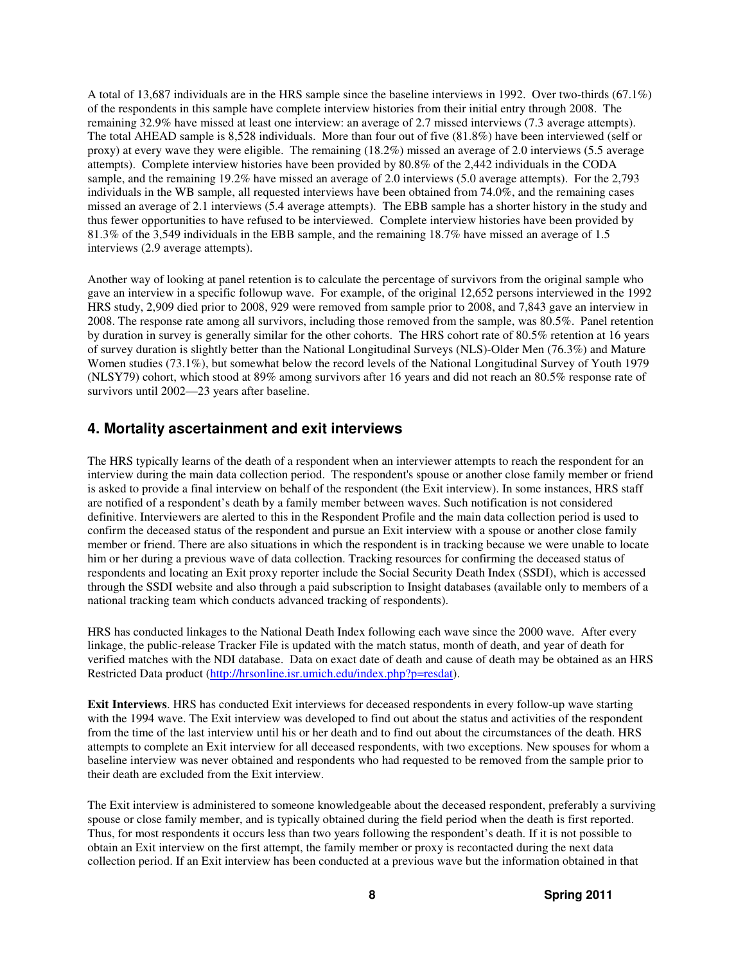A total of 13,687 individuals are in the HRS sample since the baseline interviews in 1992. Over two-thirds (67.1%) of the respondents in this sample have complete interview histories from their initial entry through 2008. The remaining 32.9% have missed at least one interview: an average of 2.7 missed interviews (7.3 average attempts). The total AHEAD sample is 8,528 individuals. More than four out of five (81.8%) have been interviewed (self or proxy) at every wave they were eligible. The remaining (18.2%) missed an average of 2.0 interviews (5.5 average attempts). Complete interview histories have been provided by 80.8% of the 2,442 individuals in the CODA sample, and the remaining 19.2% have missed an average of 2.0 interviews (5.0 average attempts). For the 2,793 individuals in the WB sample, all requested interviews have been obtained from 74.0%, and the remaining cases missed an average of 2.1 interviews (5.4 average attempts). The EBB sample has a shorter history in the study and thus fewer opportunities to have refused to be interviewed. Complete interview histories have been provided by 81.3% of the 3,549 individuals in the EBB sample, and the remaining 18.7% have missed an average of 1.5 interviews (2.9 average attempts).

Another way of looking at panel retention is to calculate the percentage of survivors from the original sample who gave an interview in a specific followup wave. For example, of the original 12,652 persons interviewed in the 1992 HRS study, 2,909 died prior to 2008, 929 were removed from sample prior to 2008, and 7,843 gave an interview in 2008. The response rate among all survivors, including those removed from the sample, was 80.5%. Panel retention by duration in survey is generally similar for the other cohorts. The HRS cohort rate of 80.5% retention at 16 years of survey duration is slightly better than the National Longitudinal Surveys (NLS)-Older Men (76.3%) and Mature Women studies (73.1%), but somewhat below the record levels of the National Longitudinal Survey of Youth 1979 (NLSY79) cohort, which stood at 89% among survivors after 16 years and did not reach an 80.5% response rate of survivors until 2002—23 years after baseline.

#### **4. Mortality ascertainment and exit interviews**

The HRS typically learns of the death of a respondent when an interviewer attempts to reach the respondent for an interview during the main data collection period. The respondent's spouse or another close family member or friend is asked to provide a final interview on behalf of the respondent (the Exit interview). In some instances, HRS staff are notified of a respondent's death by a family member between waves. Such notification is not considered definitive. Interviewers are alerted to this in the Respondent Profile and the main data collection period is used to confirm the deceased status of the respondent and pursue an Exit interview with a spouse or another close family member or friend. There are also situations in which the respondent is in tracking because we were unable to locate him or her during a previous wave of data collection. Tracking resources for confirming the deceased status of respondents and locating an Exit proxy reporter include the Social Security Death Index (SSDI), which is accessed through the SSDI website and also through a paid subscription to Insight databases (available only to members of a national tracking team which conducts advanced tracking of respondents).

HRS has conducted linkages to the National Death Index following each wave since the 2000 wave. After every linkage, the public-release Tracker File is updated with the match status, month of death, and year of death for verified matches with the NDI database. Data on exact date of death and cause of death may be obtained as an HRS Restricted Data product (http://hrsonline.isr.umich.edu/index.php?p=resdat).

**Exit Interviews**. HRS has conducted Exit interviews for deceased respondents in every follow-up wave starting with the 1994 wave. The Exit interview was developed to find out about the status and activities of the respondent from the time of the last interview until his or her death and to find out about the circumstances of the death. HRS attempts to complete an Exit interview for all deceased respondents, with two exceptions. New spouses for whom a baseline interview was never obtained and respondents who had requested to be removed from the sample prior to their death are excluded from the Exit interview.

The Exit interview is administered to someone knowledgeable about the deceased respondent, preferably a surviving spouse or close family member, and is typically obtained during the field period when the death is first reported. Thus, for most respondents it occurs less than two years following the respondent's death. If it is not possible to obtain an Exit interview on the first attempt, the family member or proxy is recontacted during the next data collection period. If an Exit interview has been conducted at a previous wave but the information obtained in that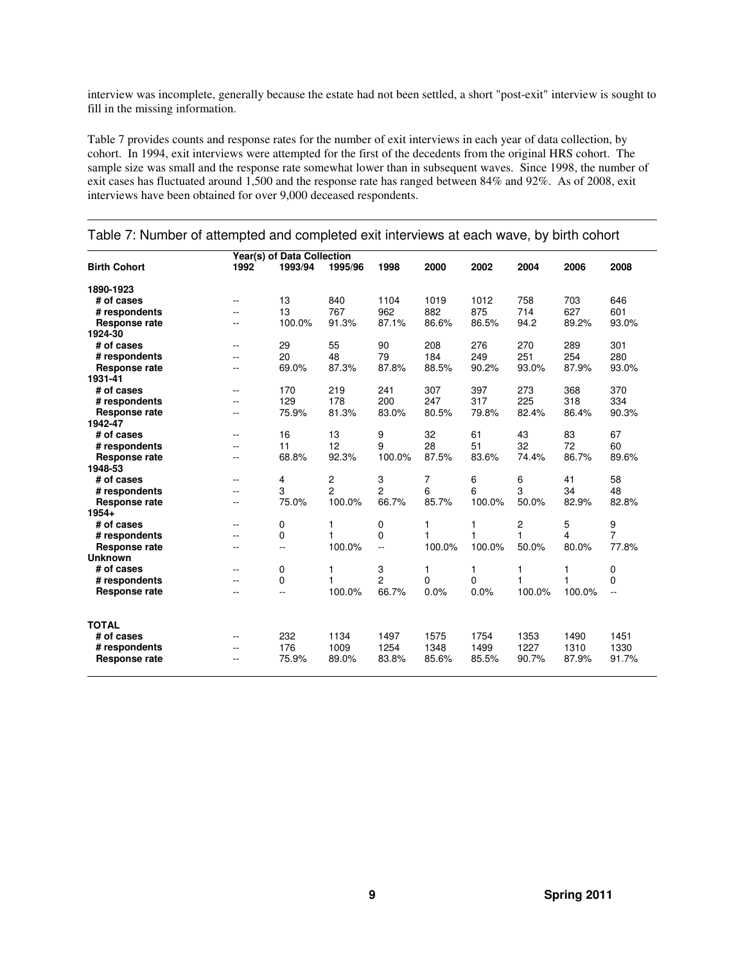interview was incomplete, generally because the estate had not been settled, a short "post-exit" interview is sought to fill in the missing information.

Table 7 provides counts and response rates for the number of exit interviews in each year of data collection, by cohort. In 1994, exit interviews were attempted for the first of the decedents from the original HRS cohort. The sample size was small and the response rate somewhat lower than in subsequent waves. Since 1998, the number of exit cases has fluctuated around 1,500 and the response rate has ranged between 84% and 92%. As of 2008, exit interviews have been obtained for over 9,000 deceased respondents.

|                      |                          | Year(s) of Data Collection |                |                |          |        |              |        |                |
|----------------------|--------------------------|----------------------------|----------------|----------------|----------|--------|--------------|--------|----------------|
| <b>Birth Cohort</b>  | 1992                     | 1993/94                    | 1995/96        | 1998           | 2000     | 2002   | 2004         | 2006   | 2008           |
| 1890-1923            |                          |                            |                |                |          |        |              |        |                |
| # of cases           | $\overline{\phantom{a}}$ | 13                         | 840            | 1104           | 1019     | 1012   | 758          | 703    | 646            |
| # respondents        | $-$                      | 13                         | 767            | 962            | 882      | 875    | 714          | 627    | 601            |
| Response rate        | --                       | 100.0%                     | 91.3%          | 87.1%          | 86.6%    | 86.5%  | 94.2         | 89.2%  | 93.0%          |
| 1924-30              |                          |                            |                |                |          |        |              |        |                |
| # of cases           |                          | 29                         | 55             | 90             | 208      | 276    | 270          | 289    | 301            |
| # respondents        | $-$                      | 20                         | 48             | 79             | 184      | 249    | 251          | 254    | 280            |
| Response rate        | --                       | 69.0%                      | 87.3%          | 87.8%          | 88.5%    | 90.2%  | 93.0%        | 87.9%  | 93.0%          |
| 1931-41              |                          |                            |                |                |          |        |              |        |                |
| # of cases           | $-$                      | 170                        | 219            | 241            | 307      | 397    | 273          | 368    | 370            |
| # respondents        | --                       | 129                        | 178            | 200            | 247      | 317    | 225          | 318    | 334            |
| Response rate        | ۰.                       | 75.9%                      | 81.3%          | 83.0%          | 80.5%    | 79.8%  | 82.4%        | 86.4%  | 90.3%          |
| 1942-47              |                          |                            |                |                |          |        |              |        |                |
| # of cases           | $\overline{a}$           | 16                         | 13             | 9              | 32       | 61     | 43           | 83     | 67             |
| # respondents        |                          | 11                         | 12             | 9              | 28       | 51     | 32           | 72     | 60             |
| Response rate        |                          | 68.8%                      | 92.3%          | 100.0%         | 87.5%    | 83.6%  | 74.4%        | 86.7%  | 89.6%          |
| 1948-53              |                          |                            |                |                |          |        |              |        |                |
| # of cases           | $-$                      | 4                          | 2              | 3              | 7        | 6      | 6            | 41     | 58             |
| # respondents        |                          | 3                          | $\overline{c}$ | $\overline{c}$ | 6        | 6      | 3            | 34     | 48             |
| Response rate        |                          | 75.0%                      | 100.0%         | 66.7%          | 85.7%    | 100.0% | 50.0%        | 82.9%  | 82.8%          |
| $1954+$              |                          |                            |                |                |          |        |              |        |                |
| # of cases           | $-$                      | 0                          | 1              | 0              | 1        | 1      | 2            | 5      | 9              |
| # respondents        | --                       | 0                          | 1              | 0              | 1        | 1      | $\mathbf{1}$ | 4      | $\overline{7}$ |
| Response rate        | --                       | --                         | 100.0%         | Ξ.             | 100.0%   | 100.0% | 50.0%        | 80.0%  | 77.8%          |
| <b>Unknown</b>       |                          |                            |                |                |          |        |              |        |                |
| # of cases           | $\sim$                   | 0                          | 1              | 3              | 1        | 1      | 1            | 1      | 0              |
| # respondents        | $\sim$                   | 0                          | 1              | $\overline{c}$ | $\Omega$ | 0      | 1            | 1      | 0              |
| <b>Response rate</b> | --                       | $-$                        | 100.0%         | 66.7%          | 0.0%     | 0.0%   | 100.0%       | 100.0% | $-$            |
| <b>TOTAL</b>         |                          |                            |                |                |          |        |              |        |                |
| # of cases           | $\overline{a}$           | 232                        | 1134           | 1497           | 1575     | 1754   | 1353         | 1490   | 1451           |
| # respondents        | $-$                      | 176                        | 1009           | 1254           | 1348     | 1499   | 1227         | 1310   | 1330           |
| Response rate        |                          | 75.9%                      | 89.0%          | 83.8%          | 85.6%    | 85.5%  | 90.7%        | 87.9%  | 91.7%          |
|                      |                          |                            |                |                |          |        |              |        |                |

#### Table 7: Number of attempted and completed exit interviews at each wave, by birth cohort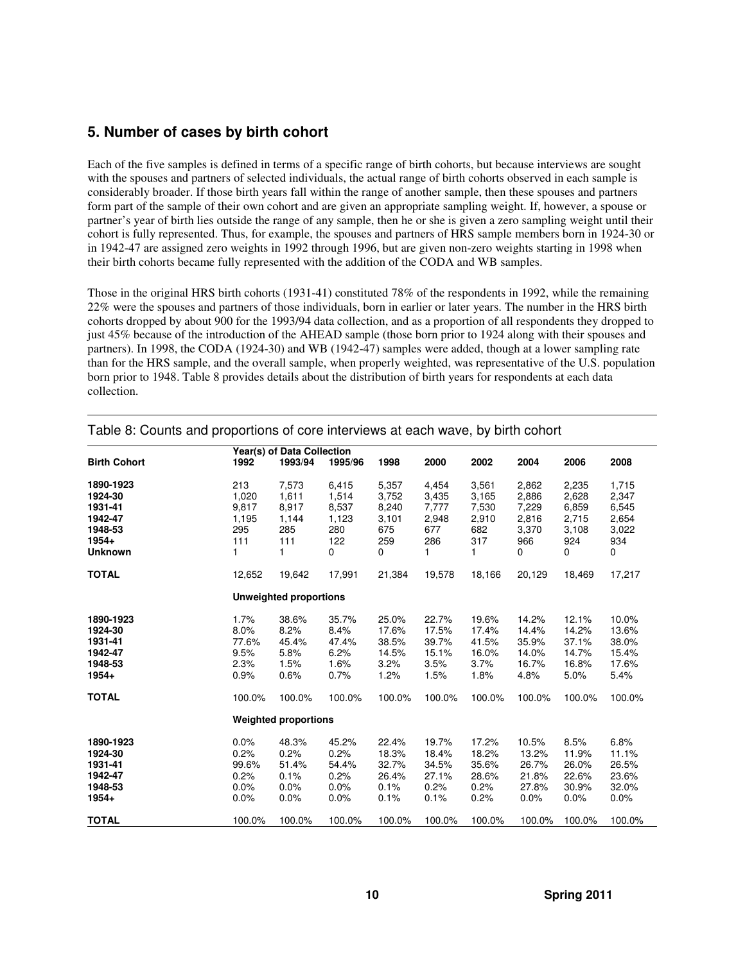#### **5. Number of cases by birth cohort**

Each of the five samples is defined in terms of a specific range of birth cohorts, but because interviews are sought with the spouses and partners of selected individuals, the actual range of birth cohorts observed in each sample is considerably broader. If those birth years fall within the range of another sample, then these spouses and partners form part of the sample of their own cohort and are given an appropriate sampling weight. If, however, a spouse or partner's year of birth lies outside the range of any sample, then he or she is given a zero sampling weight until their cohort is fully represented. Thus, for example, the spouses and partners of HRS sample members born in 1924-30 or in 1942-47 are assigned zero weights in 1992 through 1996, but are given non-zero weights starting in 1998 when their birth cohorts became fully represented with the addition of the CODA and WB samples.

Those in the original HRS birth cohorts (1931-41) constituted 78% of the respondents in 1992, while the remaining 22% were the spouses and partners of those individuals, born in earlier or later years. The number in the HRS birth cohorts dropped by about 900 for the 1993/94 data collection, and as a proportion of all respondents they dropped to just 45% because of the introduction of the AHEAD sample (those born prior to 1924 along with their spouses and partners). In 1998, the CODA (1924-30) and WB (1942-47) samples were added, though at a lower sampling rate than for the HRS sample, and the overall sample, when properly weighted, was representative of the U.S. population born prior to 1948. Table 8 provides details about the distribution of birth years for respondents at each data collection.

| Year(s) of Data Collection<br>1993/94<br>1998<br>2000<br>2002<br>2004<br>2006<br>2008<br><b>Birth Cohort</b><br>1992<br>1995/96<br>1890-1923<br>213<br>5,357<br>7,573<br>6,415<br>4,454<br>3,561<br>2,862<br>2,235<br>1,715<br>1924-30<br>1,020<br>1,611<br>1,514<br>3,752<br>2,628<br>3,435<br>3,165<br>2,886<br>2,347<br>1931-41<br>9,817<br>8,537<br>6,859<br>6,545<br>8,917<br>8,240<br>7,777<br>7,530<br>7,229<br>1942-47<br>3,101<br>2,948<br>2,715<br>2,654<br>1,195<br>1,144<br>1,123<br>2,910<br>2,816<br>1948-53<br>295<br>285<br>280<br>675<br>677<br>682<br>3,370<br>3,108<br>3,022<br>122<br>$1954+$<br>111<br>111<br>259<br>286<br>317<br>934<br>966<br>924<br>1<br><b>Unknown</b><br>1<br>0<br>0<br>1<br>1<br>0<br>0<br>0<br><b>TOTAL</b><br>17,991<br>21,384<br>19,578<br>18,166<br>20,129<br>12,652<br>19,642<br>18,469<br>17,217<br><b>Unweighted proportions</b><br>25.0%<br>22.7%<br>19.6%<br>1890-1923<br>1.7%<br>38.6%<br>35.7%<br>14.2%<br>12.1%<br>10.0%<br>1924-30<br>8.0%<br>8.2%<br>8.4%<br>17.6%<br>17.5%<br>14.2%<br>13.6%<br>17.4%<br>14.4%<br>1931-41<br>77.6%<br>45.4%<br>47.4%<br>38.5%<br>39.7%<br>41.5%<br>35.9%<br>37.1%<br>38.0%<br>1942-47<br>9.5%<br>5.8%<br>6.2%<br>14.5%<br>15.1%<br>16.0%<br>14.0%<br>14.7%<br>15.4%<br>1948-53<br>2.3%<br>1.5%<br>1.6%<br>3.5%<br>3.7%<br>16.7%<br>16.8%<br>3.2%<br>17.6%<br>$1954+$<br>0.9%<br>0.6%<br>0.7%<br>1.2%<br>1.5%<br>1.8%<br>4.8%<br>5.0%<br>5.4%<br><b>TOTAL</b><br>100.0%<br>100.0%<br>100.0%<br>100.0%<br>100.0%<br>100.0%<br>100.0%<br>100.0%<br>100.0%<br><b>Weighted proportions</b><br>1890-1923<br>0.0%<br>45.2%<br>19.7%<br>17.2%<br>8.5%<br>6.8%<br>48.3%<br>22.4%<br>10.5%<br>1924-30<br>0.2%<br>0.2%<br>0.2%<br>18.3%<br>18.4%<br>18.2%<br>13.2%<br>11.9%<br>11.1%<br>1931-41<br>32.7%<br>35.6%<br>99.6%<br>51.4%<br>54.4%<br>34.5%<br>26.7%<br>26.0%<br>26.5%<br>1942-47<br>0.2%<br>0.1%<br>0.2%<br>26.4%<br>27.1%<br>21.8%<br>22.6%<br>23.6%<br>28.6%<br>1948-53<br>0.2%<br>0.0%<br>0.0%<br>0.0%<br>0.1%<br>0.2%<br>27.8%<br>30.9%<br>32.0%<br>$1954+$<br>0.0%<br>0.1%<br>0.1%<br>0.2%<br>0.0%<br>0.0%<br>0.0%<br>0.0%<br>$0.0\%$ |  |  |  |  |  |
|---------------------------------------------------------------------------------------------------------------------------------------------------------------------------------------------------------------------------------------------------------------------------------------------------------------------------------------------------------------------------------------------------------------------------------------------------------------------------------------------------------------------------------------------------------------------------------------------------------------------------------------------------------------------------------------------------------------------------------------------------------------------------------------------------------------------------------------------------------------------------------------------------------------------------------------------------------------------------------------------------------------------------------------------------------------------------------------------------------------------------------------------------------------------------------------------------------------------------------------------------------------------------------------------------------------------------------------------------------------------------------------------------------------------------------------------------------------------------------------------------------------------------------------------------------------------------------------------------------------------------------------------------------------------------------------------------------------------------------------------------------------------------------------------------------------------------------------------------------------------------------------------------------------------------------------------------------------------------------------------------------------------------------------------------------------------------------------------------------------------------------------|--|--|--|--|--|
|                                                                                                                                                                                                                                                                                                                                                                                                                                                                                                                                                                                                                                                                                                                                                                                                                                                                                                                                                                                                                                                                                                                                                                                                                                                                                                                                                                                                                                                                                                                                                                                                                                                                                                                                                                                                                                                                                                                                                                                                                                                                                                                                       |  |  |  |  |  |
|                                                                                                                                                                                                                                                                                                                                                                                                                                                                                                                                                                                                                                                                                                                                                                                                                                                                                                                                                                                                                                                                                                                                                                                                                                                                                                                                                                                                                                                                                                                                                                                                                                                                                                                                                                                                                                                                                                                                                                                                                                                                                                                                       |  |  |  |  |  |
|                                                                                                                                                                                                                                                                                                                                                                                                                                                                                                                                                                                                                                                                                                                                                                                                                                                                                                                                                                                                                                                                                                                                                                                                                                                                                                                                                                                                                                                                                                                                                                                                                                                                                                                                                                                                                                                                                                                                                                                                                                                                                                                                       |  |  |  |  |  |
|                                                                                                                                                                                                                                                                                                                                                                                                                                                                                                                                                                                                                                                                                                                                                                                                                                                                                                                                                                                                                                                                                                                                                                                                                                                                                                                                                                                                                                                                                                                                                                                                                                                                                                                                                                                                                                                                                                                                                                                                                                                                                                                                       |  |  |  |  |  |
|                                                                                                                                                                                                                                                                                                                                                                                                                                                                                                                                                                                                                                                                                                                                                                                                                                                                                                                                                                                                                                                                                                                                                                                                                                                                                                                                                                                                                                                                                                                                                                                                                                                                                                                                                                                                                                                                                                                                                                                                                                                                                                                                       |  |  |  |  |  |
|                                                                                                                                                                                                                                                                                                                                                                                                                                                                                                                                                                                                                                                                                                                                                                                                                                                                                                                                                                                                                                                                                                                                                                                                                                                                                                                                                                                                                                                                                                                                                                                                                                                                                                                                                                                                                                                                                                                                                                                                                                                                                                                                       |  |  |  |  |  |
|                                                                                                                                                                                                                                                                                                                                                                                                                                                                                                                                                                                                                                                                                                                                                                                                                                                                                                                                                                                                                                                                                                                                                                                                                                                                                                                                                                                                                                                                                                                                                                                                                                                                                                                                                                                                                                                                                                                                                                                                                                                                                                                                       |  |  |  |  |  |
|                                                                                                                                                                                                                                                                                                                                                                                                                                                                                                                                                                                                                                                                                                                                                                                                                                                                                                                                                                                                                                                                                                                                                                                                                                                                                                                                                                                                                                                                                                                                                                                                                                                                                                                                                                                                                                                                                                                                                                                                                                                                                                                                       |  |  |  |  |  |
|                                                                                                                                                                                                                                                                                                                                                                                                                                                                                                                                                                                                                                                                                                                                                                                                                                                                                                                                                                                                                                                                                                                                                                                                                                                                                                                                                                                                                                                                                                                                                                                                                                                                                                                                                                                                                                                                                                                                                                                                                                                                                                                                       |  |  |  |  |  |
|                                                                                                                                                                                                                                                                                                                                                                                                                                                                                                                                                                                                                                                                                                                                                                                                                                                                                                                                                                                                                                                                                                                                                                                                                                                                                                                                                                                                                                                                                                                                                                                                                                                                                                                                                                                                                                                                                                                                                                                                                                                                                                                                       |  |  |  |  |  |
|                                                                                                                                                                                                                                                                                                                                                                                                                                                                                                                                                                                                                                                                                                                                                                                                                                                                                                                                                                                                                                                                                                                                                                                                                                                                                                                                                                                                                                                                                                                                                                                                                                                                                                                                                                                                                                                                                                                                                                                                                                                                                                                                       |  |  |  |  |  |
|                                                                                                                                                                                                                                                                                                                                                                                                                                                                                                                                                                                                                                                                                                                                                                                                                                                                                                                                                                                                                                                                                                                                                                                                                                                                                                                                                                                                                                                                                                                                                                                                                                                                                                                                                                                                                                                                                                                                                                                                                                                                                                                                       |  |  |  |  |  |
|                                                                                                                                                                                                                                                                                                                                                                                                                                                                                                                                                                                                                                                                                                                                                                                                                                                                                                                                                                                                                                                                                                                                                                                                                                                                                                                                                                                                                                                                                                                                                                                                                                                                                                                                                                                                                                                                                                                                                                                                                                                                                                                                       |  |  |  |  |  |
|                                                                                                                                                                                                                                                                                                                                                                                                                                                                                                                                                                                                                                                                                                                                                                                                                                                                                                                                                                                                                                                                                                                                                                                                                                                                                                                                                                                                                                                                                                                                                                                                                                                                                                                                                                                                                                                                                                                                                                                                                                                                                                                                       |  |  |  |  |  |
|                                                                                                                                                                                                                                                                                                                                                                                                                                                                                                                                                                                                                                                                                                                                                                                                                                                                                                                                                                                                                                                                                                                                                                                                                                                                                                                                                                                                                                                                                                                                                                                                                                                                                                                                                                                                                                                                                                                                                                                                                                                                                                                                       |  |  |  |  |  |
|                                                                                                                                                                                                                                                                                                                                                                                                                                                                                                                                                                                                                                                                                                                                                                                                                                                                                                                                                                                                                                                                                                                                                                                                                                                                                                                                                                                                                                                                                                                                                                                                                                                                                                                                                                                                                                                                                                                                                                                                                                                                                                                                       |  |  |  |  |  |
|                                                                                                                                                                                                                                                                                                                                                                                                                                                                                                                                                                                                                                                                                                                                                                                                                                                                                                                                                                                                                                                                                                                                                                                                                                                                                                                                                                                                                                                                                                                                                                                                                                                                                                                                                                                                                                                                                                                                                                                                                                                                                                                                       |  |  |  |  |  |
|                                                                                                                                                                                                                                                                                                                                                                                                                                                                                                                                                                                                                                                                                                                                                                                                                                                                                                                                                                                                                                                                                                                                                                                                                                                                                                                                                                                                                                                                                                                                                                                                                                                                                                                                                                                                                                                                                                                                                                                                                                                                                                                                       |  |  |  |  |  |
|                                                                                                                                                                                                                                                                                                                                                                                                                                                                                                                                                                                                                                                                                                                                                                                                                                                                                                                                                                                                                                                                                                                                                                                                                                                                                                                                                                                                                                                                                                                                                                                                                                                                                                                                                                                                                                                                                                                                                                                                                                                                                                                                       |  |  |  |  |  |
|                                                                                                                                                                                                                                                                                                                                                                                                                                                                                                                                                                                                                                                                                                                                                                                                                                                                                                                                                                                                                                                                                                                                                                                                                                                                                                                                                                                                                                                                                                                                                                                                                                                                                                                                                                                                                                                                                                                                                                                                                                                                                                                                       |  |  |  |  |  |
|                                                                                                                                                                                                                                                                                                                                                                                                                                                                                                                                                                                                                                                                                                                                                                                                                                                                                                                                                                                                                                                                                                                                                                                                                                                                                                                                                                                                                                                                                                                                                                                                                                                                                                                                                                                                                                                                                                                                                                                                                                                                                                                                       |  |  |  |  |  |
|                                                                                                                                                                                                                                                                                                                                                                                                                                                                                                                                                                                                                                                                                                                                                                                                                                                                                                                                                                                                                                                                                                                                                                                                                                                                                                                                                                                                                                                                                                                                                                                                                                                                                                                                                                                                                                                                                                                                                                                                                                                                                                                                       |  |  |  |  |  |
|                                                                                                                                                                                                                                                                                                                                                                                                                                                                                                                                                                                                                                                                                                                                                                                                                                                                                                                                                                                                                                                                                                                                                                                                                                                                                                                                                                                                                                                                                                                                                                                                                                                                                                                                                                                                                                                                                                                                                                                                                                                                                                                                       |  |  |  |  |  |
|                                                                                                                                                                                                                                                                                                                                                                                                                                                                                                                                                                                                                                                                                                                                                                                                                                                                                                                                                                                                                                                                                                                                                                                                                                                                                                                                                                                                                                                                                                                                                                                                                                                                                                                                                                                                                                                                                                                                                                                                                                                                                                                                       |  |  |  |  |  |
|                                                                                                                                                                                                                                                                                                                                                                                                                                                                                                                                                                                                                                                                                                                                                                                                                                                                                                                                                                                                                                                                                                                                                                                                                                                                                                                                                                                                                                                                                                                                                                                                                                                                                                                                                                                                                                                                                                                                                                                                                                                                                                                                       |  |  |  |  |  |
| <b>TOTAL</b><br>100.0%<br>100.0%<br>100.0%<br>100.0%<br>100.0%<br>100.0%<br>100.0%<br>100.0%<br>100.0%                                                                                                                                                                                                                                                                                                                                                                                                                                                                                                                                                                                                                                                                                                                                                                                                                                                                                                                                                                                                                                                                                                                                                                                                                                                                                                                                                                                                                                                                                                                                                                                                                                                                                                                                                                                                                                                                                                                                                                                                                                |  |  |  |  |  |

Table 8: Counts and proportions of core interviews at each wave, by birth cohort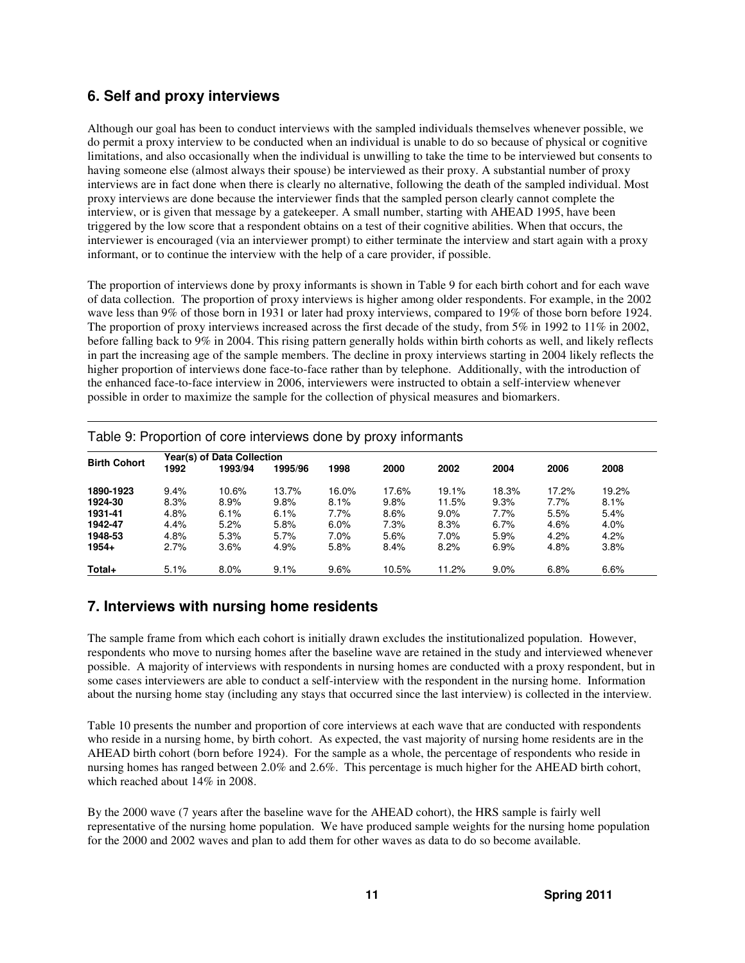## **6. Self and proxy interviews**

Although our goal has been to conduct interviews with the sampled individuals themselves whenever possible, we do permit a proxy interview to be conducted when an individual is unable to do so because of physical or cognitive limitations, and also occasionally when the individual is unwilling to take the time to be interviewed but consents to having someone else (almost always their spouse) be interviewed as their proxy. A substantial number of proxy interviews are in fact done when there is clearly no alternative, following the death of the sampled individual. Most proxy interviews are done because the interviewer finds that the sampled person clearly cannot complete the interview, or is given that message by a gatekeeper. A small number, starting with AHEAD 1995, have been triggered by the low score that a respondent obtains on a test of their cognitive abilities. When that occurs, the interviewer is encouraged (via an interviewer prompt) to either terminate the interview and start again with a proxy informant, or to continue the interview with the help of a care provider, if possible.

The proportion of interviews done by proxy informants is shown in Table 9 for each birth cohort and for each wave of data collection. The proportion of proxy interviews is higher among older respondents. For example, in the 2002 wave less than 9% of those born in 1931 or later had proxy interviews, compared to 19% of those born before 1924. The proportion of proxy interviews increased across the first decade of the study, from 5% in 1992 to 11% in 2002, before falling back to 9% in 2004. This rising pattern generally holds within birth cohorts as well, and likely reflects in part the increasing age of the sample members. The decline in proxy interviews starting in 2004 likely reflects the higher proportion of interviews done face-to-face rather than by telephone. Additionally, with the introduction of the enhanced face-to-face interview in 2006, interviewers were instructed to obtain a self-interview whenever possible in order to maximize the sample for the collection of physical measures and biomarkers.

|                     | Year(s) of Data Collection |         |         |       |       |         |       |       |       |  |  |
|---------------------|----------------------------|---------|---------|-------|-------|---------|-------|-------|-------|--|--|
| <b>Birth Cohort</b> | 1992                       | 1993/94 | 1995/96 | 1998  | 2000  | 2002    | 2004  | 2006  | 2008  |  |  |
| 1890-1923           | 9.4%                       | 10.6%   | 13.7%   | 16.0% | 17.6% | 19.1%   | 18.3% | 17.2% | 19.2% |  |  |
| 1924-30             | 8.3%                       | 8.9%    | 9.8%    | 8.1%  | 9.8%  | 11.5%   | 9.3%  | 7.7%  | 8.1%  |  |  |
| 1931-41             | 4.8%                       | 6.1%    | 6.1%    | 7.7%  | 8.6%  | $9.0\%$ | 7.7%  | 5.5%  | 5.4%  |  |  |
| 1942-47             | 4.4%                       | 5.2%    | 5.8%    | 6.0%  | 7.3%  | 8.3%    | 6.7%  | 4.6%  | 4.0%  |  |  |
| 1948-53             | 4.8%                       | 5.3%    | 5.7%    | 7.0%  | 5.6%  | 7.0%    | 5.9%  | 4.2%  | 4.2%  |  |  |
| 1954+               | 2.7%                       | 3.6%    | 4.9%    | 5.8%  | 8.4%  | 8.2%    | 6.9%  | 4.8%  | 3.8%  |  |  |
| Total+              | 5.1%                       | 8.0%    | 9.1%    | 9.6%  | 10.5% | 11.2%   | 9.0%  | 6.8%  | 6.6%  |  |  |

Table 9: Proportion of core interviews done by proxy informants

### **7. Interviews with nursing home residents**

The sample frame from which each cohort is initially drawn excludes the institutionalized population. However, respondents who move to nursing homes after the baseline wave are retained in the study and interviewed whenever possible. A majority of interviews with respondents in nursing homes are conducted with a proxy respondent, but in some cases interviewers are able to conduct a self-interview with the respondent in the nursing home. Information about the nursing home stay (including any stays that occurred since the last interview) is collected in the interview.

Table 10 presents the number and proportion of core interviews at each wave that are conducted with respondents who reside in a nursing home, by birth cohort. As expected, the vast majority of nursing home residents are in the AHEAD birth cohort (born before 1924). For the sample as a whole, the percentage of respondents who reside in nursing homes has ranged between 2.0% and 2.6%. This percentage is much higher for the AHEAD birth cohort, which reached about 14% in 2008.

By the 2000 wave (7 years after the baseline wave for the AHEAD cohort), the HRS sample is fairly well representative of the nursing home population. We have produced sample weights for the nursing home population for the 2000 and 2002 waves and plan to add them for other waves as data to do so become available.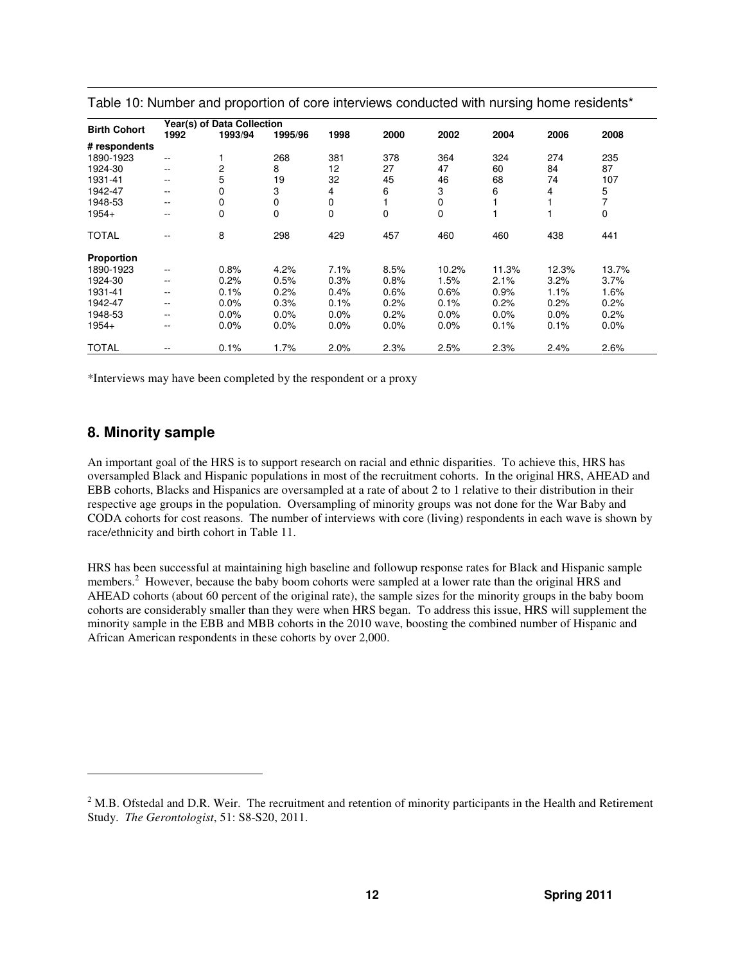|                     |       | Year(s) of Data Collection |             |      |      |       |       |       |             |
|---------------------|-------|----------------------------|-------------|------|------|-------|-------|-------|-------------|
| <b>Birth Cohort</b> | 1992  | 1993/94                    | 1995/96     | 1998 | 2000 | 2002  | 2004  | 2006  | 2008        |
| # respondents       |       |                            |             |      |      |       |       |       |             |
| 1890-1923           | ۰.    |                            | 268         | 381  | 378  | 364   | 324   | 274   | 235         |
| 1924-30             | --    | 2                          | 8           | 12   | 27   | 47    | 60    | 84    | 87          |
| 1931-41             | $-$   | 5                          | 19          | 32   | 45   | 46    | 68    | 74    | 107         |
| 1942-47             | --    | 0                          | 3           | 4    | 6    | 3     | 6     | 4     | 5           |
| 1948-53             | --    | 0                          | 0           | 0    |      | 0     |       |       | 7           |
| 1954+               | --    | 0                          | $\mathbf 0$ | 0    | 0    | 0     |       |       | $\mathbf 0$ |
| <b>TOTAL</b>        | --    | 8                          | 298         | 429  | 457  | 460   | 460   | 438   | 441         |
| <b>Proportion</b>   |       |                            |             |      |      |       |       |       |             |
| 1890-1923           | $- -$ | 0.8%                       | 4.2%        | 7.1% | 8.5% | 10.2% | 11.3% | 12.3% | 13.7%       |
| 1924-30             | $- -$ | 0.2%                       | 0.5%        | 0.3% | 0.8% | 1.5%  | 2.1%  | 3.2%  | 3.7%        |
| 1931-41             | --    | 0.1%                       | 0.2%        | 0.4% | 0.6% | 0.6%  | 0.9%  | 1.1%  | 1.6%        |
| 1942-47             | $- -$ | 0.0%                       | 0.3%        | 0.1% | 0.2% | 0.1%  | 0.2%  | 0.2%  | 0.2%        |
| 1948-53             | --    | 0.0%                       | 0.0%        | 0.0% | 0.2% | 0.0%  | 0.0%  | 0.0%  | 0.2%        |
| 1954+               | --    | 0.0%                       | 0.0%        | 0.0% | 0.0% | 0.0%  | 0.1%  | 0.1%  | 0.0%        |
| <b>TOTAL</b>        | --    | 0.1%                       | 1.7%        | 2.0% | 2.3% | 2.5%  | 2.3%  | 2.4%  | 2.6%        |

Table 10: Number and proportion of core interviews conducted with nursing home residents\*

\*Interviews may have been completed by the respondent or a proxy

#### **8. Minority sample**

j

An important goal of the HRS is to support research on racial and ethnic disparities. To achieve this, HRS has oversampled Black and Hispanic populations in most of the recruitment cohorts. In the original HRS, AHEAD and EBB cohorts, Blacks and Hispanics are oversampled at a rate of about 2 to 1 relative to their distribution in their respective age groups in the population. Oversampling of minority groups was not done for the War Baby and CODA cohorts for cost reasons. The number of interviews with core (living) respondents in each wave is shown by race/ethnicity and birth cohort in Table 11.

HRS has been successful at maintaining high baseline and followup response rates for Black and Hispanic sample members.<sup>2</sup> However, because the baby boom cohorts were sampled at a lower rate than the original HRS and AHEAD cohorts (about 60 percent of the original rate), the sample sizes for the minority groups in the baby boom cohorts are considerably smaller than they were when HRS began. To address this issue, HRS will supplement the minority sample in the EBB and MBB cohorts in the 2010 wave, boosting the combined number of Hispanic and African American respondents in these cohorts by over 2,000.

 $2$  M.B. Ofstedal and D.R. Weir. The recruitment and retention of minority participants in the Health and Retirement Study. *The Gerontologist*, 51: S8-S20, 2011.